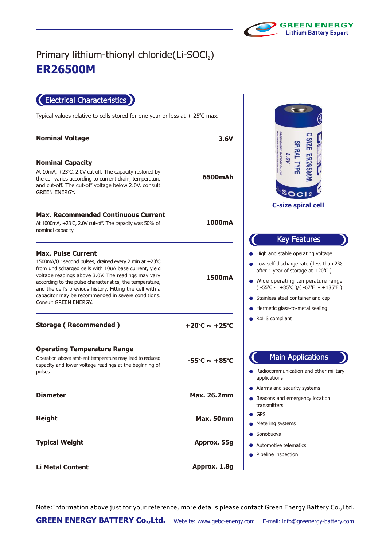

## **ER26500M** Primary lithium-thionyl chloride(Li-SOCl2)

Electrical Characteristics a

Typical values relative to cells stored for one year or less at  $+25^{\circ}$ C max.

| <b>Nominal Voltage</b>                                                                                                                                                                                                                                                                                                                                                      | 3.6V                              |
|-----------------------------------------------------------------------------------------------------------------------------------------------------------------------------------------------------------------------------------------------------------------------------------------------------------------------------------------------------------------------------|-----------------------------------|
| <b>Nominal Capacity</b>                                                                                                                                                                                                                                                                                                                                                     |                                   |
| At 10mA, +23°C, 2.0V cut-off. The capacity restored by<br>the cell varies according to current drain, temperature<br>and cut-off. The cut-off voltage below 2.0V, consult<br><b>GREEN ENERGY.</b>                                                                                                                                                                           | 6500mAh                           |
| <b>Max. Recommended Continuous Current</b>                                                                                                                                                                                                                                                                                                                                  |                                   |
| At 1000mA, $+23^{\circ}$ C, 2.0V cut-off. The capacity was 50% of<br>nominal capacity.                                                                                                                                                                                                                                                                                      | 1000mA                            |
| <b>Max. Pulse Current</b>                                                                                                                                                                                                                                                                                                                                                   |                                   |
| 1500mA/0.1second pulses, drained every 2 min at +23°C<br>from undischarged cells with 10uA base current, yield<br>voltage readings above 3.0V. The readings may vary<br>according to the pulse characteristics, the temperature,<br>and the cell's previous history. Fitting the cell with a<br>capacitor may be recommended in severe conditions.<br>Consult GREEN ENERGY. | 1500mA                            |
| <b>Storage (Recommended)</b>                                                                                                                                                                                                                                                                                                                                                | +20°C $\sim$ +25°C                |
| <b>Operating Temperature Range</b>                                                                                                                                                                                                                                                                                                                                          |                                   |
| Operation above ambient temperature may lead to reduced<br>capacity and lower voltage readings at the beginning of<br>pulses.                                                                                                                                                                                                                                               | $-55^{\circ}$ C ~ $+85^{\circ}$ C |
| <b>Diameter</b>                                                                                                                                                                                                                                                                                                                                                             | <b>Max. 26.2mm</b>                |
| <b>Height</b>                                                                                                                                                                                                                                                                                                                                                               | Max. 50mm                         |
| <b>Typical Weight</b>                                                                                                                                                                                                                                                                                                                                                       | Approx. 55g                       |
| <b>Li Metal Content</b>                                                                                                                                                                                                                                                                                                                                                     | Approx. 1.8g                      |



Note:Information above just for your reference, more details please contact Green Energy Battery Co.,Ltd.